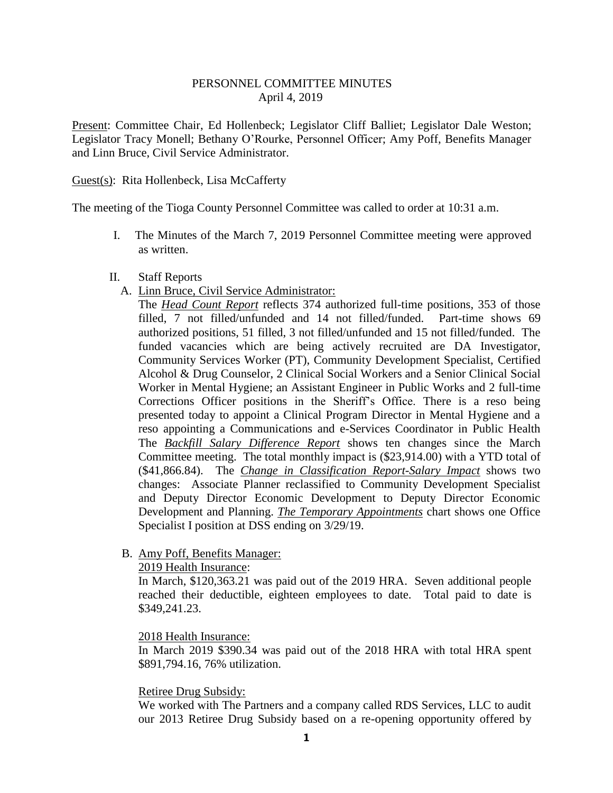## PERSONNEL COMMITTEE MINUTES April 4, 2019

Present: Committee Chair, Ed Hollenbeck; Legislator Cliff Balliet; Legislator Dale Weston; Legislator Tracy Monell; Bethany O'Rourke, Personnel Officer; Amy Poff, Benefits Manager and Linn Bruce, Civil Service Administrator.

## Guest(s): Rita Hollenbeck, Lisa McCafferty

The meeting of the Tioga County Personnel Committee was called to order at 10:31 a.m.

I. The Minutes of the March 7, 2019 Personnel Committee meeting were approved as written.

## II. Staff Reports

A. Linn Bruce, Civil Service Administrator:

The *Head Count Report* reflects 374 authorized full-time positions, 353 of those filled, 7 not filled/unfunded and 14 not filled/funded. Part-time shows 69 authorized positions, 51 filled, 3 not filled/unfunded and 15 not filled/funded. The funded vacancies which are being actively recruited are DA Investigator, Community Services Worker (PT), Community Development Specialist, Certified Alcohol & Drug Counselor, 2 Clinical Social Workers and a Senior Clinical Social Worker in Mental Hygiene; an Assistant Engineer in Public Works and 2 full-time Corrections Officer positions in the Sheriff's Office. There is a reso being presented today to appoint a Clinical Program Director in Mental Hygiene and a reso appointing a Communications and e-Services Coordinator in Public Health The *Backfill Salary Difference Report* shows ten changes since the March Committee meeting. The total monthly impact is (\$23,914.00) with a YTD total of (\$41,866.84). The *Change in Classification Report-Salary Impact* shows two changes: Associate Planner reclassified to Community Development Specialist and Deputy Director Economic Development to Deputy Director Economic Development and Planning. *The Temporary Appointments* chart shows one Office Specialist I position at DSS ending on 3/29/19.

# B. Amy Poff, Benefits Manager:

## 2019 Health Insurance:

In March, \$120,363.21 was paid out of the 2019 HRA. Seven additional people reached their deductible, eighteen employees to date. Total paid to date is \$349,241.23.

# 2018 Health Insurance:

In March 2019 \$390.34 was paid out of the 2018 HRA with total HRA spent \$891,794.16, 76% utilization.

#### Retiree Drug Subsidy:

We worked with The Partners and a company called RDS Services, LLC to audit our 2013 Retiree Drug Subsidy based on a re-opening opportunity offered by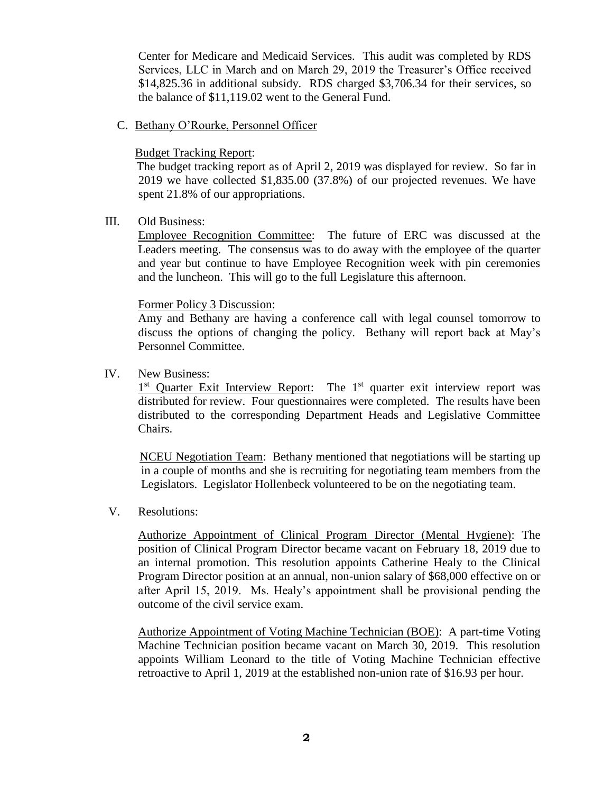Center for Medicare and Medicaid Services. This audit was completed by RDS Services, LLC in March and on March 29, 2019 the Treasurer's Office received \$14,825.36 in additional subsidy. RDS charged \$3,706.34 for their services, so the balance of \$11,119.02 went to the General Fund.

C. Bethany O'Rourke, Personnel Officer

#### Budget Tracking Report:

 The budget tracking report as of April 2, 2019 was displayed for review. So far in 2019 we have collected \$1,835.00 (37.8%) of our projected revenues. We have spent 21.8% of our appropriations.

## III. Old Business:

Employee Recognition Committee: The future of ERC was discussed at the Leaders meeting. The consensus was to do away with the employee of the quarter and year but continue to have Employee Recognition week with pin ceremonies and the luncheon. This will go to the full Legislature this afternoon.

# Former Policy 3 Discussion:

Amy and Bethany are having a conference call with legal counsel tomorrow to discuss the options of changing the policy. Bethany will report back at May's Personnel Committee.

# IV. New Business:

1<sup>st</sup> Quarter Exit Interview Report: The 1<sup>st</sup> quarter exit interview report was distributed for review. Four questionnaires were completed. The results have been distributed to the corresponding Department Heads and Legislative Committee Chairs.

NCEU Negotiation Team: Bethany mentioned that negotiations will be starting up in a couple of months and she is recruiting for negotiating team members from the Legislators. Legislator Hollenbeck volunteered to be on the negotiating team.

# V. Resolutions:

Authorize Appointment of Clinical Program Director (Mental Hygiene): The position of Clinical Program Director became vacant on February 18, 2019 due to an internal promotion. This resolution appoints Catherine Healy to the Clinical Program Director position at an annual, non-union salary of \$68,000 effective on or after April 15, 2019. Ms. Healy's appointment shall be provisional pending the outcome of the civil service exam.

Authorize Appointment of Voting Machine Technician (BOE): A part-time Voting Machine Technician position became vacant on March 30, 2019. This resolution appoints William Leonard to the title of Voting Machine Technician effective retroactive to April 1, 2019 at the established non-union rate of \$16.93 per hour.